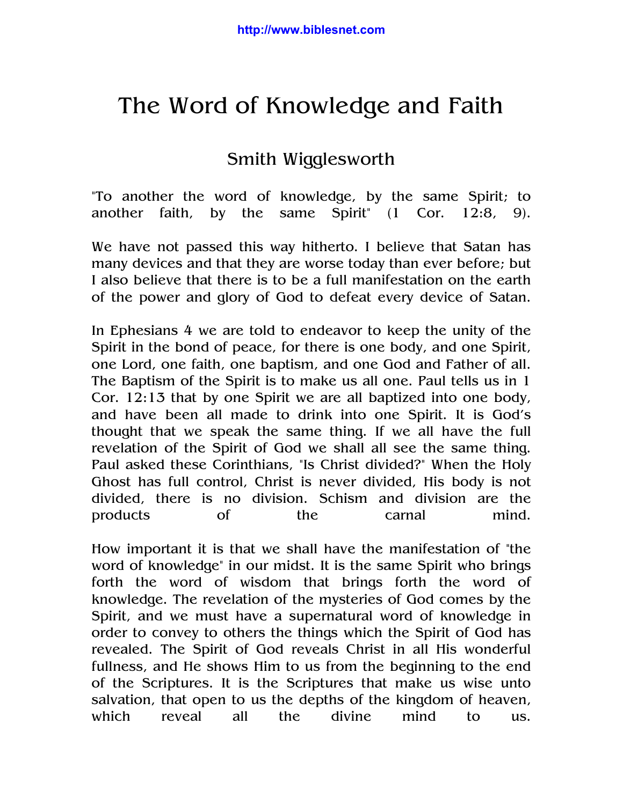## The Word of Knowledge and Faith

## Smith Wigglesworth

"To another the word of knowledge, by the same Spirit; to another faith, by the same Spirit" (1 Cor. 12:8, 9).

We have not passed this way hitherto. I believe that Satan has many devices and that they are worse today than ever before; but I also believe that there is to be a full manifestation on the earth of the power and glory of God to defeat every device of Satan.

In Ephesians 4 we are told to endeavor to keep the unity of the Spirit in the bond of peace, for there is one body, and one Spirit, one Lord, one faith, one baptism, and one God and Father of all. The Baptism of the Spirit is to make us all one. Paul tells us in 1 Cor. 12:13 that by one Spirit we are all baptized into one body, and have been all made to drink into one Spirit. It is God's thought that we speak the same thing. If we all have the full revelation of the Spirit of God we shall all see the same thing. Paul asked these Corinthians, "Is Christ divided?" When the Holy Ghost has full control, Christ is never divided, His body is not divided, there is no division. Schism and division are the products of the carnal mind.

How important it is that we shall have the manifestation of "the word of knowledge" in our midst. It is the same Spirit who brings forth the word of wisdom that brings forth the word of knowledge. The revelation of the mysteries of God comes by the Spirit, and we must have a supernatural word of knowledge in order to convey to others the things which the Spirit of God has revealed. The Spirit of God reveals Christ in all His wonderful fullness, and He shows Him to us from the beginning to the end of the Scriptures. It is the Scriptures that make us wise unto salvation, that open to us the depths of the kingdom of heaven, which reveal all the divine mind to us.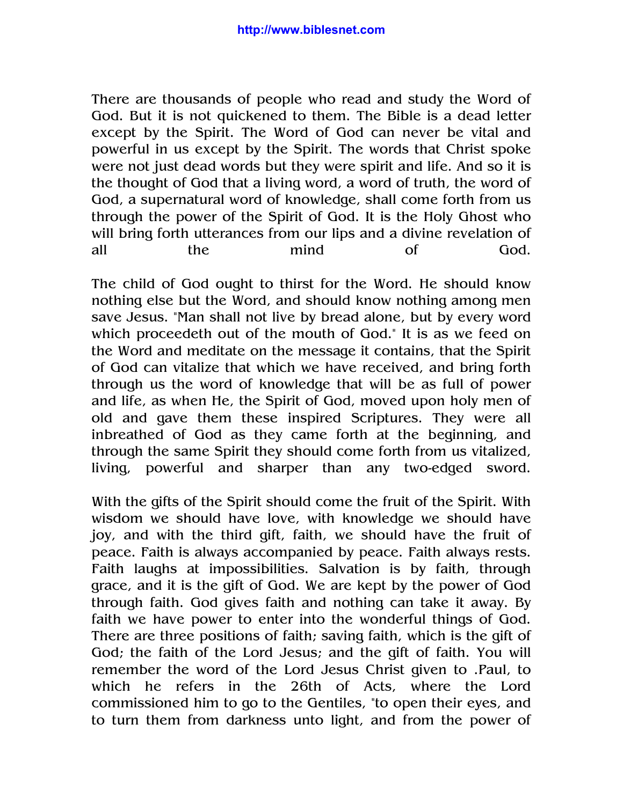There are thousands of people who read and study the Word of God. But it is not quickened to them. The Bible is a dead letter except by the Spirit. The Word of God can never be vital and powerful in us except by the Spirit. The words that Christ spoke were not just dead words but they were spirit and life. And so it is the thought of God that a living word, a word of truth, the word of God, a supernatural word of knowledge, shall come forth from us through the power of the Spirit of God. It is the Holy Ghost who will bring forth utterances from our lips and a divine revelation of all the mind of God.

The child of God ought to thirst for the Word. He should know nothing else but the Word, and should know nothing among men save Jesus. "Man shall not live by bread alone, but by every word which proceedeth out of the mouth of God." It is as we feed on the Word and meditate on the message it contains, that the Spirit of God can vitalize that which we have received, and bring forth through us the word of knowledge that will be as full of power and life, as when He, the Spirit of God, moved upon holy men of old and gave them these inspired Scriptures. They were all inbreathed of God as they came forth at the beginning, and through the same Spirit they should come forth from us vitalized, living, powerful and sharper than any two-edged sword.

With the gifts of the Spirit should come the fruit of the Spirit. With wisdom we should have love, with knowledge we should have joy, and with the third gift, faith, we should have the fruit of peace. Faith is always accompanied by peace. Faith always rests. Faith laughs at impossibilities. Salvation is by faith, through grace, and it is the gift of God. We are kept by the power of God through faith. God gives faith and nothing can take it away. By faith we have power to enter into the wonderful things of God. There are three positions of faith; saving faith, which is the gift of God; the faith of the Lord Jesus; and the gift of faith. You will remember the word of the Lord Jesus Christ given to .Paul, to which he refers in the 26th of Acts, where the Lord commissioned him to go to the Gentiles, "to open their eyes, and to turn them from darkness unto light, and from the power of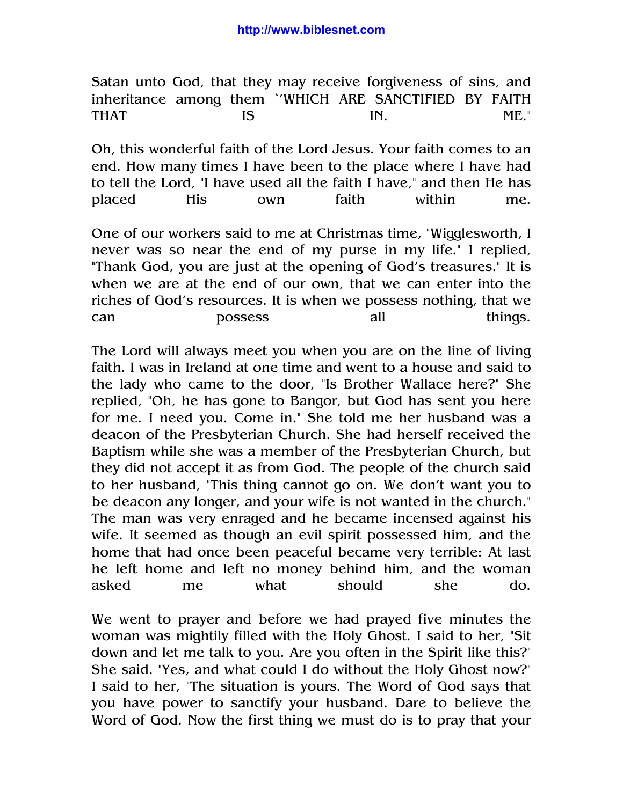Satan unto God, that they may receive forgiveness of sins, and inheritance among them `'WHICH ARE SANCTIFIED BY FAITH THAT IS IN. ME."

Oh, this wonderful faith of the Lord Jesus. Your faith comes to an end. How many times I have been to the place where I have had to tell the Lord, "I have used all the faith I have," and then He has placed His own faith within me.

One of our workers said to me at Christmas time, "Wigglesworth, I never was so near the end of my purse in my life." I replied, "Thank God, you are just at the opening of God's treasures." It is when we are at the end of our own, that we can enter into the riches of God's resources. It is when we possess nothing, that we can possess all things.

The Lord will always meet you when you are on the line of living faith. I was in Ireland at one time and went to a house and said to the lady who came to the door, "Is Brother Wallace here?" She replied, "Oh, he has gone to Bangor, but God has sent you here for me. I need you. Come in." She told me her husband was a deacon of the Presbyterian Church. She had herself received the Baptism while she was a member of the Presbyterian Church, but they did not accept it as from God. The people of the church said to her husband, "This thing cannot go on. We don't want you to be deacon any longer, and your wife is not wanted in the church." The man was very enraged and he became incensed against his wife. It seemed as though an evil spirit possessed him, and the home that had once been peaceful became very terrible: At last he left home and left no money behind him, and the woman asked me what should she do.

We went to prayer and before we had prayed five minutes the woman was mightily filled with the Holy Ghost. I said to her, "Sit down and let me talk to you. Are you often in the Spirit like this?" She said. "Yes, and what could I do without the Holy Ghost now?" I said to her, "The situation is yours. The Word of God says that you have power to sanctify your husband. Dare to believe the Word of God. Now the first thing we must do is to pray that your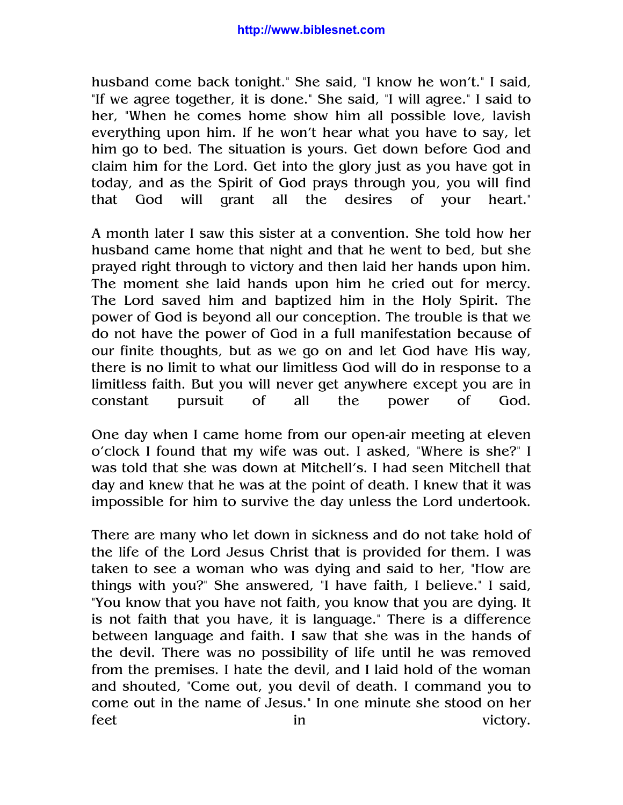husband come back tonight." She said, "I know he won't." I said, "If we agree together, it is done." She said, "I will agree." I said to her, "When he comes home show him all possible love, lavish everything upon him. If he won't hear what you have to say, let him go to bed. The situation is yours. Get down before God and claim him for the Lord. Get into the glory just as you have got in today, and as the Spirit of God prays through you, you will find that God will grant all the desires of your heart."

A month later I saw this sister at a convention. She told how her husband came home that night and that he went to bed, but she prayed right through to victory and then laid her hands upon him. The moment she laid hands upon him he cried out for mercy. The Lord saved him and baptized him in the Holy Spirit. The power of God is beyond all our conception. The trouble is that we do not have the power of God in a full manifestation because of our finite thoughts, but as we go on and let God have His way, there is no limit to what our limitless God will do in response to a limitless faith. But you will never get anywhere except you are in constant pursuit of all the power of God.

One day when I came home from our open-air meeting at eleven o'clock I found that my wife was out. I asked, "Where is she?" I was told that she was down at Mitchell's. I had seen Mitchell that day and knew that he was at the point of death. I knew that it was impossible for him to survive the day unless the Lord undertook.

There are many who let down in sickness and do not take hold of the life of the Lord Jesus Christ that is provided for them. I was taken to see a woman who was dying and said to her, "How are things with you?" She answered, "I have faith, I believe." I said, "You know that you have not faith, you know that you are dying. It is not faith that you have, it is language." There is a difference between language and faith. I saw that she was in the hands of the devil. There was no possibility of life until he was removed from the premises. I hate the devil, and I laid hold of the woman and shouted, "Come out, you devil of death. I command you to come out in the name of Jesus." In one minute she stood on her feet in the in victory.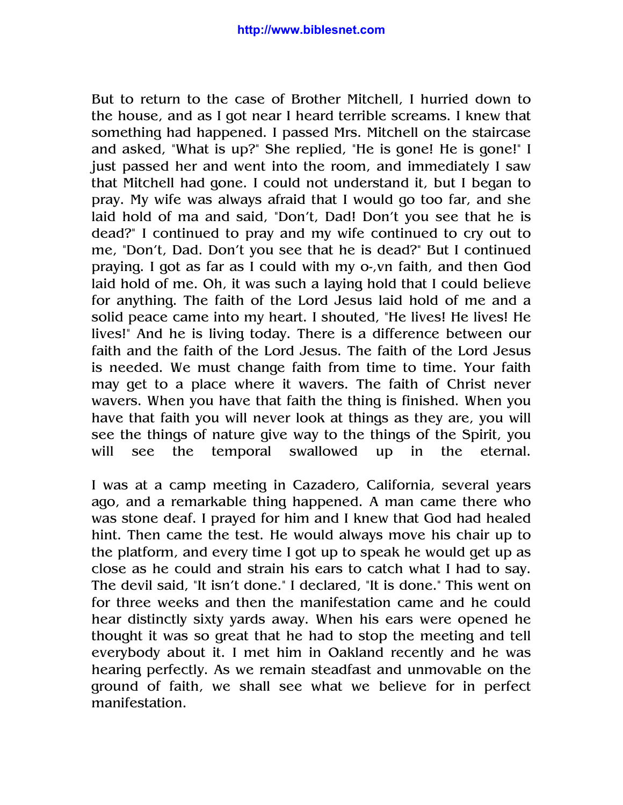But to return to the case of Brother Mitchell, I hurried down to the house, and as I got near I heard terrible screams. I knew that something had happened. I passed Mrs. Mitchell on the staircase and asked, "What is up?" She replied, "He is gone! He is gone!" I just passed her and went into the room, and immediately I saw that Mitchell had gone. I could not understand it, but I began to pray. My wife was always afraid that I would go too far, and she laid hold of ma and said, "Don't, Dad! Don't you see that he is dead?" I continued to pray and my wife continued to cry out to me, "Don't, Dad. Don't you see that he is dead?" But I continued praying. I got as far as I could with my o-,vn faith, and then God laid hold of me. Oh, it was such a laying hold that I could believe for anything. The faith of the Lord Jesus laid hold of me and a solid peace came into my heart. I shouted, "He lives! He lives! He lives!" And he is living today. There is a difference between our faith and the faith of the Lord Jesus. The faith of the Lord Jesus is needed. We must change faith from time to time. Your faith may get to a place where it wavers. The faith of Christ never wavers. When you have that faith the thing is finished. When you have that faith you will never look at things as they are, you will see the things of nature give way to the things of the Spirit, you will see the temporal swallowed up in the eternal.

I was at a camp meeting in Cazadero, California, several years ago, and a remarkable thing happened. A man came there who was stone deaf. I prayed for him and I knew that God had healed hint. Then came the test. He would always move his chair up to the platform, and every time I got up to speak he would get up as close as he could and strain his ears to catch what I had to say. The devil said, "It isn't done." I declared, "It is done." This went on for three weeks and then the manifestation came and he could hear distinctly sixty yards away. When his ears were opened he thought it was so great that he had to stop the meeting and tell everybody about it. I met him in Oakland recently and he was hearing perfectly. As we remain steadfast and unmovable on the ground of faith, we shall see what we believe for in perfect manifestation.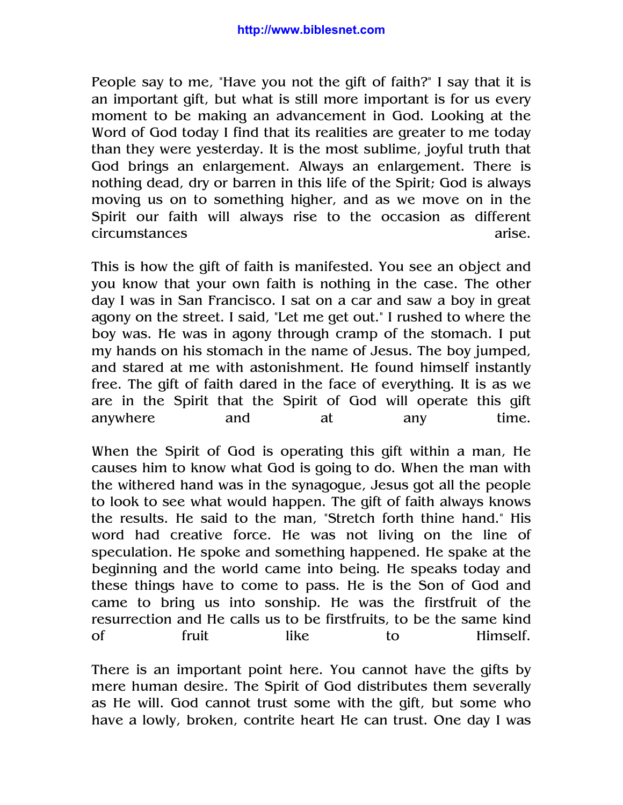People say to me, "Have you not the gift of faith?" I say that it is an important gift, but what is still more important is for us every moment to be making an advancement in God. Looking at the Word of God today I find that its realities are greater to me today than they were yesterday. It is the most sublime, joyful truth that God brings an enlargement. Always an enlargement. There is nothing dead, dry or barren in this life of the Spirit; God is always moving us on to something higher, and as we move on in the Spirit our faith will always rise to the occasion as different circumstances arise.

This is how the gift of faith is manifested. You see an object and you know that your own faith is nothing in the case. The other day I was in San Francisco. I sat on a car and saw a boy in great agony on the street. I said, "Let me get out." I rushed to where the boy was. He was in agony through cramp of the stomach. I put my hands on his stomach in the name of Jesus. The boy jumped, and stared at me with astonishment. He found himself instantly free. The gift of faith dared in the face of everything. It is as we are in the Spirit that the Spirit of God will operate this gift anywhere and at any time.

When the Spirit of God is operating this gift within a man, He causes him to know what God is going to do. When the man with the withered hand was in the synagogue, Jesus got all the people to look to see what would happen. The gift of faith always knows the results. He said to the man, "Stretch forth thine hand." His word had creative force. He was not living on the line of speculation. He spoke and something happened. He spake at the beginning and the world came into being. He speaks today and these things have to come to pass. He is the Son of God and came to bring us into sonship. He was the firstfruit of the resurrection and He calls us to be firstfruits, to be the same kind of fruit like to Himself.

There is an important point here. You cannot have the gifts by mere human desire. The Spirit of God distributes them severally as He will. God cannot trust some with the gift, but some who have a lowly, broken, contrite heart He can trust. One day I was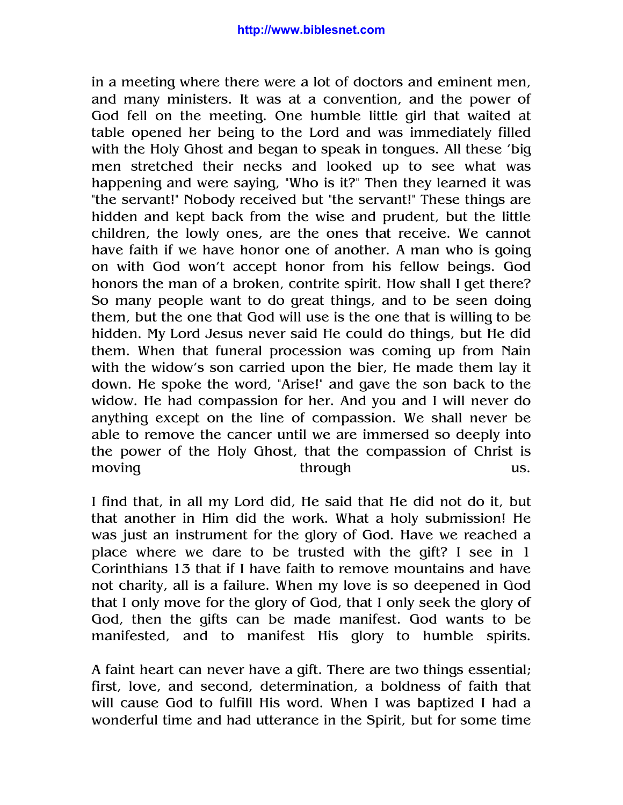in a meeting where there were a lot of doctors and eminent men, and many ministers. It was at a convention, and the power of God fell on the meeting. One humble little girl that waited at table opened her being to the Lord and was immediately filled with the Holy Ghost and began to speak in tongues. All these 'big men stretched their necks and looked up to see what was happening and were saying, "Who is it?" Then they learned it was "the servant!" Nobody received but "the servant!" These things are hidden and kept back from the wise and prudent, but the little children, the lowly ones, are the ones that receive. We cannot have faith if we have honor one of another. A man who is going on with God won't accept honor from his fellow beings. God honors the man of a broken, contrite spirit. How shall I get there? So many people want to do great things, and to be seen doing them, but the one that God will use is the one that is willing to be hidden. My Lord Jesus never said He could do things, but He did them. When that funeral procession was coming up from Nain with the widow's son carried upon the bier, He made them lay it down. He spoke the word, "Arise!" and gave the son back to the widow. He had compassion for her. And you and I will never do anything except on the line of compassion. We shall never be able to remove the cancer until we are immersed so deeply into the power of the Holy Ghost, that the compassion of Christ is moving through through us.

I find that, in all my Lord did, He said that He did not do it, but that another in Him did the work. What a holy submission! He was just an instrument for the glory of God. Have we reached a place where we dare to be trusted with the gift? I see in 1 Corinthians 13 that if I have faith to remove mountains and have not charity, all is a failure. When my love is so deepened in God that I only move for the glory of God, that I only seek the glory of God, then the gifts can be made manifest. God wants to be manifested, and to manifest His glory to humble spirits.

A faint heart can never have a gift. There are two things essential; first, love, and second, determination, a boldness of faith that will cause God to fulfill His word. When I was baptized I had a wonderful time and had utterance in the Spirit, but for some time